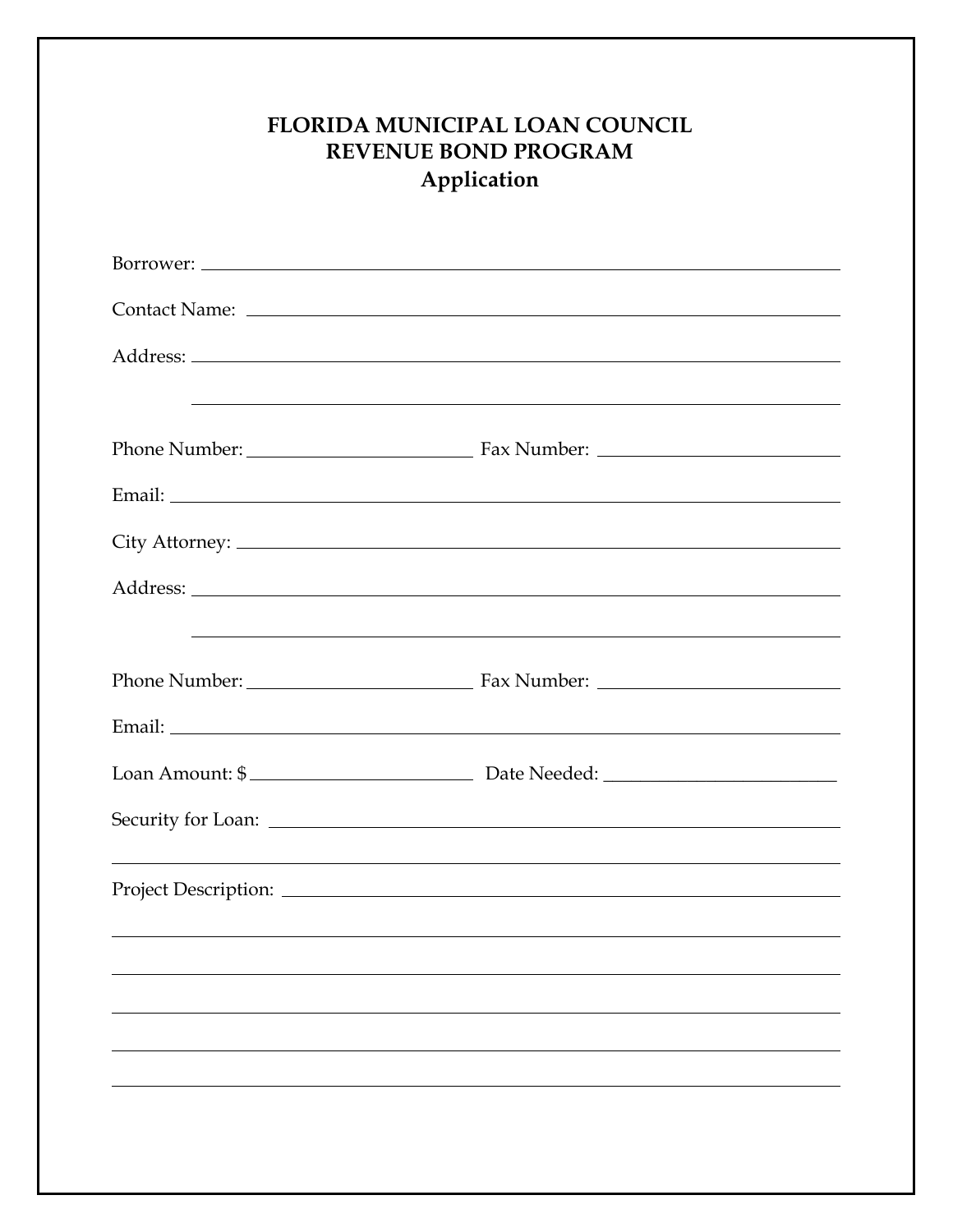| <b>FLORIDA MUNICIPAL LOAN COUNCIL</b><br><b>REVENUE BOND PROGRAM</b><br>Application |                                                             |
|-------------------------------------------------------------------------------------|-------------------------------------------------------------|
|                                                                                     |                                                             |
|                                                                                     |                                                             |
|                                                                                     |                                                             |
|                                                                                     | <u> 1989 - Johann Stoff, amerikansk politiker (* 1908)</u>  |
|                                                                                     |                                                             |
|                                                                                     |                                                             |
|                                                                                     | <u> 1989 - Johann Stoff, amerikansk politiker (d. 1989)</u> |
|                                                                                     |                                                             |
|                                                                                     |                                                             |
|                                                                                     | Loan Amount: \$                                             |
|                                                                                     |                                                             |
|                                                                                     |                                                             |
|                                                                                     |                                                             |
|                                                                                     |                                                             |
|                                                                                     |                                                             |
|                                                                                     |                                                             |
|                                                                                     |                                                             |
|                                                                                     |                                                             |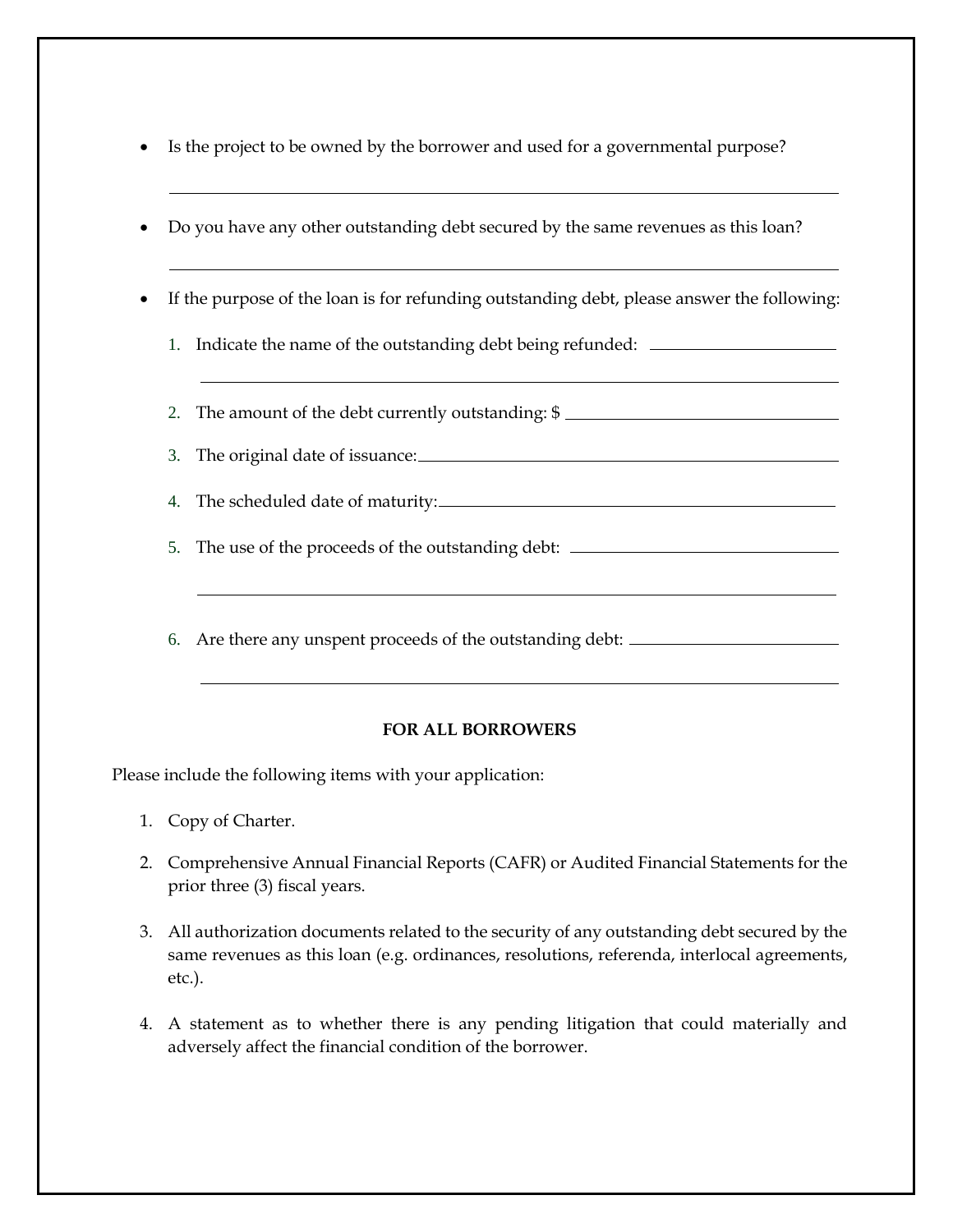- Is the project to be owned by the borrower and used for a governmental purpose?
- Do you have any other outstanding debt secured by the same revenues as this loan?
- If the purpose of the loan is for refunding outstanding debt, please answer the following:
	- 1. Indicate the name of the outstanding debt being refunded:
	- 2. The amount of the debt currently outstanding: \$
	- 3. The original date of issuance:
	- 4. The scheduled date of maturity:
	- 5. The use of the proceeds of the outstanding debt:
	- 6. Are there any unspent proceeds of the outstanding debt:

## **FOR ALL BORROWERS**

Please include the following items with your application:

- 1. Copy of Charter.
- 2. Comprehensive Annual Financial Reports (CAFR) or Audited Financial Statements for the prior three (3) fiscal years.
- 3. All authorization documents related to the security of any outstanding debt secured by the same revenues as this loan (e.g. ordinances, resolutions, referenda, interlocal agreements, etc.).
- 4. A statement as to whether there is any pending litigation that could materially and adversely affect the financial condition of the borrower.